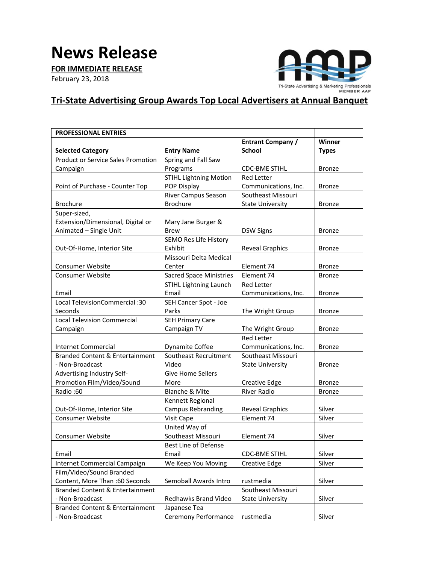## **News Release**

**FOR IMMEDIATE RELEASE**

February 23, 2018



## **Tri-State Advertising Group Awards Top Local Advertisers at Annual Banquet**

| <b>PROFESSIONAL ENTRIES</b>                |                                |                          |               |
|--------------------------------------------|--------------------------------|--------------------------|---------------|
|                                            |                                | <b>Entrant Company /</b> | Winner        |
| <b>Selected Category</b>                   | <b>Entry Name</b>              | School                   | <b>Types</b>  |
| <b>Product or Service Sales Promotion</b>  | Spring and Fall Saw            |                          |               |
| Campaign                                   | Programs                       | <b>CDC-BME STIHL</b>     | <b>Bronze</b> |
|                                            | <b>STIHL Lightning Motion</b>  | <b>Red Letter</b>        |               |
| Point of Purchase - Counter Top            | POP Display                    | Communications, Inc.     | <b>Bronze</b> |
|                                            | River Campus Season            | Southeast Missouri       |               |
| <b>Brochure</b>                            | <b>Brochure</b>                | <b>State University</b>  | <b>Bronze</b> |
| Super-sized,                               |                                |                          |               |
| Extension/Dimensional, Digital or          | Mary Jane Burger &             |                          |               |
| Animated - Single Unit                     | <b>Brew</b>                    | <b>DSW Signs</b>         | <b>Bronze</b> |
|                                            | SEMO Res Life History          |                          |               |
| Out-Of-Home, Interior Site                 | Exhibit                        | <b>Reveal Graphics</b>   | <b>Bronze</b> |
|                                            | Missouri Delta Medical         |                          |               |
| <b>Consumer Website</b>                    | Center                         | Element 74               | <b>Bronze</b> |
| <b>Consumer Website</b>                    | <b>Sacred Space Ministries</b> | Element 74               | <b>Bronze</b> |
|                                            | <b>STIHL Lightning Launch</b>  | <b>Red Letter</b>        |               |
| Email                                      | Email                          | Communications, Inc.     | <b>Bronze</b> |
| Local TelevisionCommercial :30             | SEH Cancer Spot - Joe          |                          |               |
| Seconds                                    | Parks                          | The Wright Group         | <b>Bronze</b> |
| <b>Local Television Commercial</b>         | <b>SEH Primary Care</b>        |                          |               |
| Campaign                                   | Campaign TV                    | The Wright Group         | <b>Bronze</b> |
|                                            |                                | <b>Red Letter</b>        |               |
| Internet Commercial                        | Dynamite Coffee                | Communications, Inc.     | <b>Bronze</b> |
| <b>Branded Content &amp; Entertainment</b> | Southeast Recruitment          | Southeast Missouri       |               |
| - Non-Broadcast                            | Video                          | <b>State University</b>  | <b>Bronze</b> |
| Advertising Industry Self-                 | <b>Give Home Sellers</b>       |                          |               |
| Promotion Film/Video/Sound                 | More                           | <b>Creative Edge</b>     | <b>Bronze</b> |
| Radio:60                                   | <b>Blanche &amp; Mite</b>      | River Radio              | <b>Bronze</b> |
|                                            | Kennett Regional               |                          |               |
| Out-Of-Home, Interior Site                 | <b>Campus Rebranding</b>       | <b>Reveal Graphics</b>   | Silver        |
| Consumer Website                           | Visit Cape                     | Element 74               | Silver        |
|                                            | United Way of                  |                          |               |
| <b>Consumer Website</b>                    | Southeast Missouri             | Element 74               | Silver        |
|                                            | <b>Best Line of Defense</b>    |                          |               |
| Email                                      | Email                          | <b>CDC-BME STIHL</b>     | Silver        |
| Internet Commercial Campaign               | We Keep You Moving             | <b>Creative Edge</b>     | Silver        |
| Film/Video/Sound Branded                   |                                |                          |               |
| Content, More Than :60 Seconds             | Semoball Awards Intro          | rustmedia                | Silver        |
| <b>Branded Content &amp; Entertainment</b> |                                | Southeast Missouri       |               |
| - Non-Broadcast                            | Redhawks Brand Video           | <b>State University</b>  | Silver        |
| <b>Branded Content &amp; Entertainment</b> | Japanese Tea                   |                          |               |
| - Non-Broadcast                            | Ceremony Performance           | rustmedia                | Silver        |